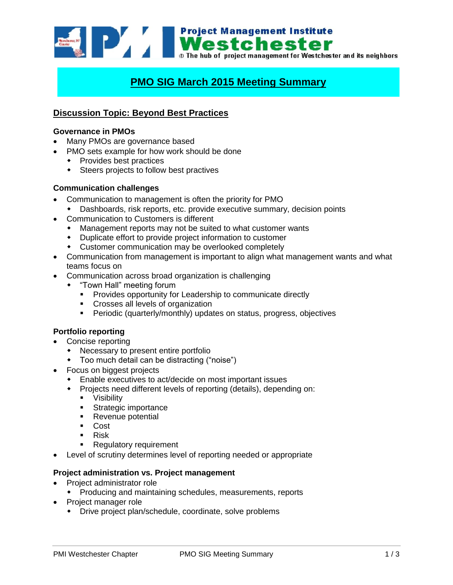

# **PMO SIG March 2015 Meeting Summary**

# **Discussion Topic: Beyond Best Practices**

#### **Governance in PMOs**

- Many PMOs are governance based
- PMO sets example for how work should be done
	- Provides best practices
	- Steers projects to follow best practives

## **Communication challenges**

- Communication to management is often the priority for PMO
	- Dashboards, risk reports, etc. provide executive summary, decision points
- Communication to Customers is different
	- Management reports may not be suited to what customer wants
	- Duplicate effort to provide project information to customer
	- Customer communication may be overlooked completely
- Communication from management is important to align what management wants and what teams focus on
- Communication across broad organization is challenging
	- "Town Hall" meeting forum
		- **Provides opportunity for Leadership to communicate directly**
		- **Crosses all levels of organization**
		- **Periodic (quarterly/monthly) updates on status, progress, objectives**

## **Portfolio reporting**

- Concise reporting
	- Necessary to present entire portfolio
	- Too much detail can be distracting ("noise")
- Focus on biggest projects
	- Enable executives to act/decide on most important issues
	- Projects need different levels of reporting (details), depending on:
		- **•** Visibility
		- **Strategic importance**
		- Revenue potential
		- **Cost**
		- $\blacksquare$  Risk
		- Regulatory requirement
- Level of scrutiny determines level of reporting needed or appropriate

#### **Project administration vs. Project management**

- Project administrator role
	- Producing and maintaining schedules, measurements, reports
- Project manager role
	- Drive project plan/schedule, coordinate, solve problems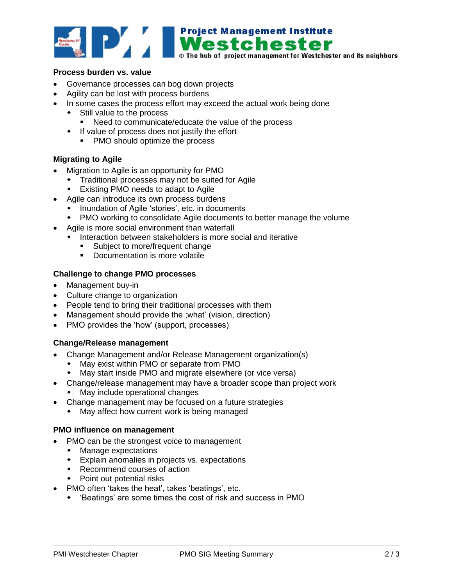

#### **Process burden vs. value**

- Governance processes can bog down projects
- Agility can be lost with process burdens
- In some cases the process effort may exceed the actual work being done
	- Still value to the process
		- Need to communicate/educate the value of the process
	- If value of process does not justify the effort
		- PMO should optimize the process

## **Migrating to Agile**

- Migration to Agile is an opportunity for PMO
	- Traditional processes may not be suited for Agile
	- Existing PMO needs to adapt to Agile
- Agile can introduce its own process burdens
	- Inundation of Agile 'stories', etc. in documents
	- PMO working to consolidate Agile documents to better manage the volume
- Agile is more social environment than waterfall
	- Interaction between stakeholders is more social and iterative
		- **Subject to more/frequent change**
		- **-** Documentation is more volatile

## **Challenge to change PMO processes**

- Management buy-in
- Culture change to organization
- People tend to bring their traditional processes with them
- Management should provide the ;what' (vision, direction)
- PMO provides the 'how' (support, processes)

## **Change/Release management**

- Change Management and/or Release Management organization(s)
	- May exist within PMO or separate from PMO
	- May start inside PMO and migrate elsewhere (or vice versa)
- Change/release management may have a broader scope than project work
	- May include operational changes
- Change management may be focused on a future strategies
	- May affect how current work is being managed

#### **PMO influence on management**

- PMO can be the strongest voice to management
	- Manage expectations
	- Explain anomalies in projects vs. expectations
	- Recommend courses of action
	- Point out potential risks
- PMO often 'takes the heat', takes 'beatings', etc.
	- 'Beatings' are some times the cost of risk and success in PMO